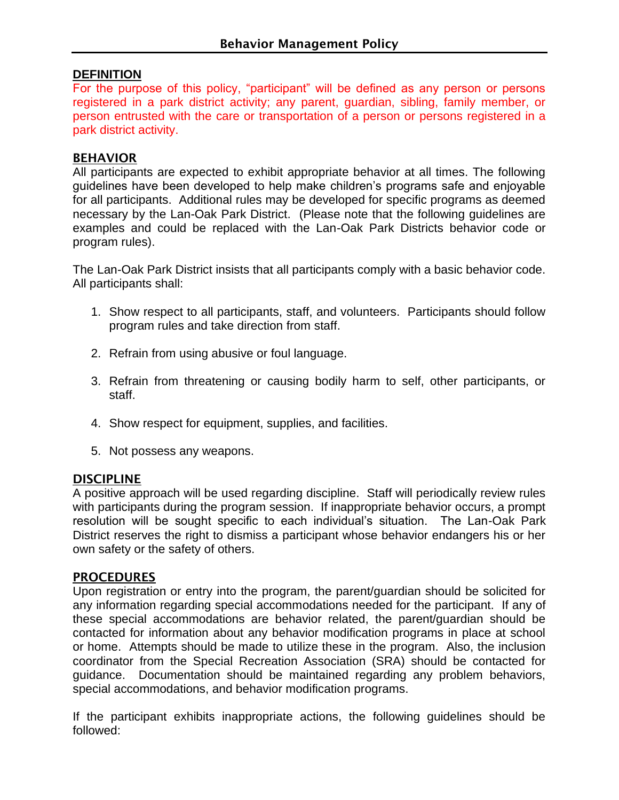## **DEFINITION**

For the purpose of this policy, "participant" will be defined as any person or persons registered in a park district activity; any parent, guardian, sibling, family member, or person entrusted with the care or transportation of a person or persons registered in a park district activity.

### BEHAVIOR

All participants are expected to exhibit appropriate behavior at all times. The following guidelines have been developed to help make children's programs safe and enjoyable for all participants. Additional rules may be developed for specific programs as deemed necessary by the Lan-Oak Park District. (Please note that the following guidelines are examples and could be replaced with the Lan-Oak Park Districts behavior code or program rules).

The Lan-Oak Park District insists that all participants comply with a basic behavior code. All participants shall:

- 1. Show respect to all participants, staff, and volunteers. Participants should follow program rules and take direction from staff.
- 2. Refrain from using abusive or foul language.
- 3. Refrain from threatening or causing bodily harm to self, other participants, or staff.
- 4. Show respect for equipment, supplies, and facilities.
- 5. Not possess any weapons.

#### **DISCIPLINE**

A positive approach will be used regarding discipline. Staff will periodically review rules with participants during the program session. If inappropriate behavior occurs, a prompt resolution will be sought specific to each individual's situation. The Lan-Oak Park District reserves the right to dismiss a participant whose behavior endangers his or her own safety or the safety of others.

#### **PROCEDURES**

Upon registration or entry into the program, the parent/guardian should be solicited for any information regarding special accommodations needed for the participant. If any of these special accommodations are behavior related, the parent/guardian should be contacted for information about any behavior modification programs in place at school or home. Attempts should be made to utilize these in the program. Also, the inclusion coordinator from the Special Recreation Association (SRA) should be contacted for guidance. Documentation should be maintained regarding any problem behaviors, special accommodations, and behavior modification programs.

If the participant exhibits inappropriate actions, the following guidelines should be followed: